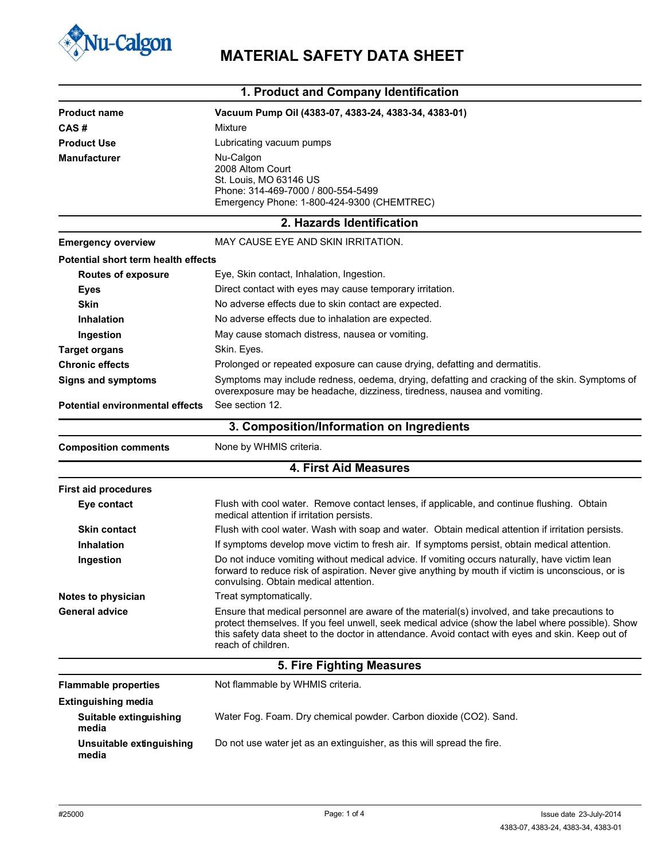

## **Nu-Calgon** MATERIAL SAFETY DATA SHEET

| 1. Product and Company Identification      |                                                                                                                                                                                                                                                                                                                              |  |
|--------------------------------------------|------------------------------------------------------------------------------------------------------------------------------------------------------------------------------------------------------------------------------------------------------------------------------------------------------------------------------|--|
| <b>Product name</b>                        | Vacuum Pump Oil (4383-07, 4383-24, 4383-34, 4383-01)                                                                                                                                                                                                                                                                         |  |
| CAS#                                       | Mixture                                                                                                                                                                                                                                                                                                                      |  |
| <b>Product Use</b>                         | Lubricating vacuum pumps                                                                                                                                                                                                                                                                                                     |  |
| <b>Manufacturer</b>                        | Nu-Calgon                                                                                                                                                                                                                                                                                                                    |  |
|                                            | 2008 Altom Court                                                                                                                                                                                                                                                                                                             |  |
|                                            | St. Louis, MO 63146 US<br>Phone: 314-469-7000 / 800-554-5499                                                                                                                                                                                                                                                                 |  |
|                                            | Emergency Phone: 1-800-424-9300 (CHEMTREC)                                                                                                                                                                                                                                                                                   |  |
|                                            | 2. Hazards Identification                                                                                                                                                                                                                                                                                                    |  |
| <b>Emergency overview</b>                  | MAY CAUSE EYE AND SKIN IRRITATION.                                                                                                                                                                                                                                                                                           |  |
| <b>Potential short term health effects</b> |                                                                                                                                                                                                                                                                                                                              |  |
| <b>Routes of exposure</b>                  | Eye, Skin contact, Inhalation, Ingestion.                                                                                                                                                                                                                                                                                    |  |
| <b>Eyes</b>                                | Direct contact with eyes may cause temporary irritation.                                                                                                                                                                                                                                                                     |  |
| <b>Skin</b>                                | No adverse effects due to skin contact are expected.                                                                                                                                                                                                                                                                         |  |
| <b>Inhalation</b>                          | No adverse effects due to inhalation are expected.                                                                                                                                                                                                                                                                           |  |
| Ingestion                                  | May cause stomach distress, nausea or vomiting.                                                                                                                                                                                                                                                                              |  |
| <b>Target organs</b>                       | Skin. Eyes.                                                                                                                                                                                                                                                                                                                  |  |
| <b>Chronic effects</b>                     | Prolonged or repeated exposure can cause drying, defatting and dermatitis.                                                                                                                                                                                                                                                   |  |
| <b>Signs and symptoms</b>                  | Symptoms may include redness, oedema, drying, defatting and cracking of the skin. Symptoms of<br>overexposure may be headache, dizziness, tiredness, nausea and vomiting.                                                                                                                                                    |  |
| <b>Potential environmental effects</b>     | See section 12.                                                                                                                                                                                                                                                                                                              |  |
|                                            | 3. Composition/Information on Ingredients                                                                                                                                                                                                                                                                                    |  |
| <b>Composition comments</b>                | None by WHMIS criteria.                                                                                                                                                                                                                                                                                                      |  |
|                                            | 4. First Aid Measures                                                                                                                                                                                                                                                                                                        |  |
| <b>First aid procedures</b>                |                                                                                                                                                                                                                                                                                                                              |  |
| Eye contact                                | Flush with cool water. Remove contact lenses, if applicable, and continue flushing. Obtain<br>medical attention if irritation persists.                                                                                                                                                                                      |  |
| <b>Skin contact</b>                        | Flush with cool water. Wash with soap and water. Obtain medical attention if irritation persists.                                                                                                                                                                                                                            |  |
| <b>Inhalation</b>                          | If symptoms develop move victim to fresh air. If symptoms persist, obtain medical attention.                                                                                                                                                                                                                                 |  |
| Ingestion                                  | Do not induce vomiting without medical advice. If vomiting occurs naturally, have victim lean<br>forward to reduce risk of aspiration. Never give anything by mouth if victim is unconscious, or is<br>convulsing. Obtain medical attention.                                                                                 |  |
| Notes to physician                         | Treat symptomatically.                                                                                                                                                                                                                                                                                                       |  |
| <b>General advice</b>                      | Ensure that medical personnel are aware of the material(s) involved, and take precautions to<br>protect themselves. If you feel unwell, seek medical advice (show the label where possible). Show<br>this safety data sheet to the doctor in attendance. Avoid contact with eyes and skin. Keep out of<br>reach of children. |  |
|                                            | 5. Fire Fighting Measures                                                                                                                                                                                                                                                                                                    |  |
| <b>Flammable properties</b>                | Not flammable by WHMIS criteria.                                                                                                                                                                                                                                                                                             |  |
| <b>Extinguishing media</b>                 |                                                                                                                                                                                                                                                                                                                              |  |
| Suitable extinguishing<br>media            | Water Fog. Foam. Dry chemical powder. Carbon dioxide (CO2). Sand.                                                                                                                                                                                                                                                            |  |
| Unsuitable extinguishing<br>media          | Do not use water jet as an extinguisher, as this will spread the fire.                                                                                                                                                                                                                                                       |  |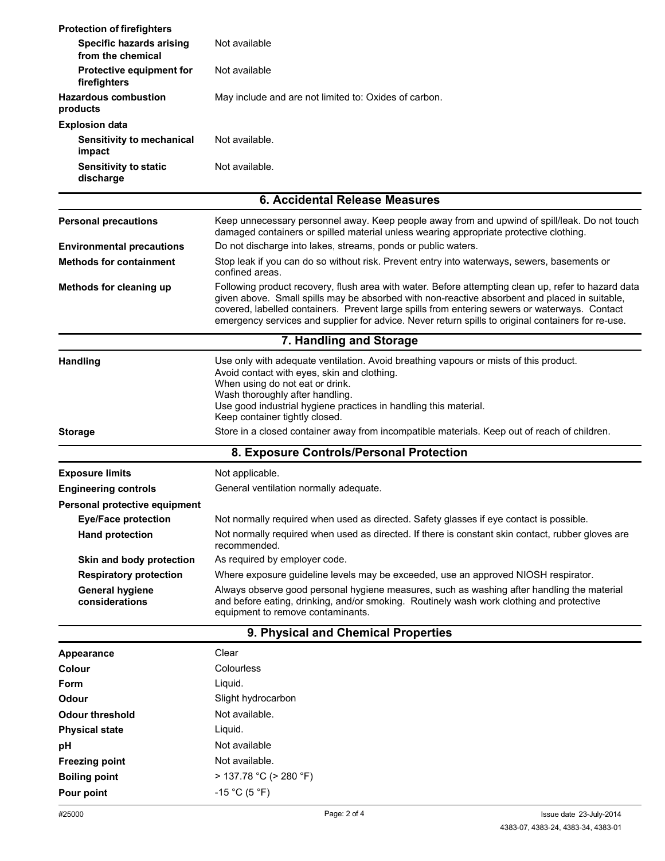| <b>Protection of firefighters</b>                    |                                                                                                                                                                                                                                                                                                                                                                                                             |  |  |
|------------------------------------------------------|-------------------------------------------------------------------------------------------------------------------------------------------------------------------------------------------------------------------------------------------------------------------------------------------------------------------------------------------------------------------------------------------------------------|--|--|
| <b>Specific hazards arising</b><br>from the chemical | Not available                                                                                                                                                                                                                                                                                                                                                                                               |  |  |
| <b>Protective equipment for</b><br>firefighters      | Not available                                                                                                                                                                                                                                                                                                                                                                                               |  |  |
| <b>Hazardous combustion</b><br>products              | May include and are not limited to: Oxides of carbon.                                                                                                                                                                                                                                                                                                                                                       |  |  |
| <b>Explosion data</b>                                |                                                                                                                                                                                                                                                                                                                                                                                                             |  |  |
| <b>Sensitivity to mechanical</b><br>impact           | Not available.                                                                                                                                                                                                                                                                                                                                                                                              |  |  |
| <b>Sensitivity to static</b><br>discharge            | Not available.                                                                                                                                                                                                                                                                                                                                                                                              |  |  |
|                                                      | 6. Accidental Release Measures                                                                                                                                                                                                                                                                                                                                                                              |  |  |
| <b>Personal precautions</b>                          | Keep unnecessary personnel away. Keep people away from and upwind of spill/leak. Do not touch<br>damaged containers or spilled material unless wearing appropriate protective clothing.                                                                                                                                                                                                                     |  |  |
| <b>Environmental precautions</b>                     | Do not discharge into lakes, streams, ponds or public waters.                                                                                                                                                                                                                                                                                                                                               |  |  |
| <b>Methods for containment</b>                       | Stop leak if you can do so without risk. Prevent entry into waterways, sewers, basements or<br>confined areas.                                                                                                                                                                                                                                                                                              |  |  |
| Methods for cleaning up                              | Following product recovery, flush area with water. Before attempting clean up, refer to hazard data<br>given above. Small spills may be absorbed with non-reactive absorbent and placed in suitable,<br>covered, labelled containers. Prevent large spills from entering sewers or waterways. Contact<br>emergency services and supplier for advice. Never return spills to original containers for re-use. |  |  |
|                                                      | 7. Handling and Storage                                                                                                                                                                                                                                                                                                                                                                                     |  |  |
| <b>Handling</b>                                      | Use only with adequate ventilation. Avoid breathing vapours or mists of this product.<br>Avoid contact with eyes, skin and clothing.<br>When using do not eat or drink.<br>Wash thoroughly after handling.<br>Use good industrial hygiene practices in handling this material.<br>Keep container tightly closed.                                                                                            |  |  |
| <b>Storage</b>                                       | Store in a closed container away from incompatible materials. Keep out of reach of children.                                                                                                                                                                                                                                                                                                                |  |  |
|                                                      | 8. Exposure Controls/Personal Protection                                                                                                                                                                                                                                                                                                                                                                    |  |  |
| <b>Exposure limits</b>                               | Not applicable.                                                                                                                                                                                                                                                                                                                                                                                             |  |  |
| <b>Engineering controls</b>                          | General ventilation normally adequate.                                                                                                                                                                                                                                                                                                                                                                      |  |  |
| Personal protective equipment                        |                                                                                                                                                                                                                                                                                                                                                                                                             |  |  |
| <b>Eye/Face protection</b>                           | Not normally required when used as directed. Safety glasses if eye contact is possible.                                                                                                                                                                                                                                                                                                                     |  |  |
| <b>Hand protection</b>                               | Not normally required when used as directed. If there is constant skin contact, rubber gloves are<br>recommended.                                                                                                                                                                                                                                                                                           |  |  |
| Skin and body protection                             | As required by employer code.                                                                                                                                                                                                                                                                                                                                                                               |  |  |
| <b>Respiratory protection</b>                        | Where exposure guideline levels may be exceeded, use an approved NIOSH respirator.                                                                                                                                                                                                                                                                                                                          |  |  |
| <b>General hygiene</b><br>considerations             | Always observe good personal hygiene measures, such as washing after handling the material<br>and before eating, drinking, and/or smoking. Routinely wash work clothing and protective<br>equipment to remove contaminants.                                                                                                                                                                                 |  |  |
|                                                      | 9. Physical and Chemical Properties                                                                                                                                                                                                                                                                                                                                                                         |  |  |
| <b>Appearance</b>                                    | Clear                                                                                                                                                                                                                                                                                                                                                                                                       |  |  |
| Colour                                               | Colourless                                                                                                                                                                                                                                                                                                                                                                                                  |  |  |
| Form                                                 | Liquid.                                                                                                                                                                                                                                                                                                                                                                                                     |  |  |
| Odour                                                | Slight hydrocarbon                                                                                                                                                                                                                                                                                                                                                                                          |  |  |
| <b>Odour threshold</b>                               | Not available.                                                                                                                                                                                                                                                                                                                                                                                              |  |  |
| <b>Physical state</b>                                | Liquid.                                                                                                                                                                                                                                                                                                                                                                                                     |  |  |
| рH                                                   | Not available                                                                                                                                                                                                                                                                                                                                                                                               |  |  |
| <b>Freezing point</b>                                | Not available.                                                                                                                                                                                                                                                                                                                                                                                              |  |  |
| <b>Boiling point</b>                                 | $> 137.78 °C$ ( $> 280 °F$ )                                                                                                                                                                                                                                                                                                                                                                                |  |  |
|                                                      | $-15 °C (5 °F)$                                                                                                                                                                                                                                                                                                                                                                                             |  |  |
| Pour point                                           |                                                                                                                                                                                                                                                                                                                                                                                                             |  |  |
| #25000                                               | Page: 2 of 4<br>Issue date 23-July-2014<br>4383-07, 4383-24, 4383-34, 4383-01                                                                                                                                                                                                                                                                                                                               |  |  |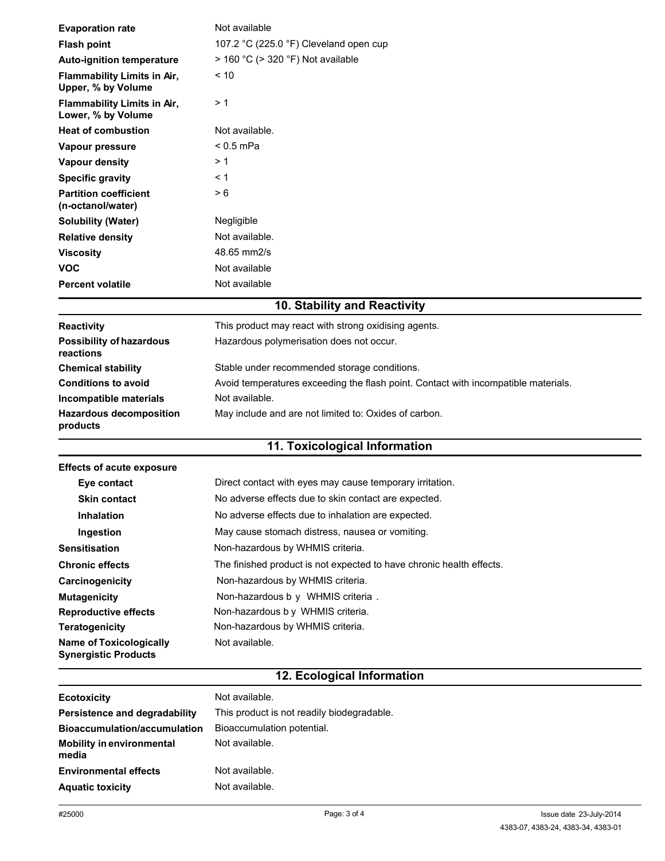| <b>Evaporation rate</b>                                       | Not available                                                                      |  |
|---------------------------------------------------------------|------------------------------------------------------------------------------------|--|
| <b>Flash point</b>                                            | 107.2 °C (225.0 °F) Cleveland open cup                                             |  |
| Auto-ignition temperature                                     | $>$ 160 °C ( $>$ 320 °F) Not available                                             |  |
| Flammability Limits in Air,<br>Upper, % by Volume             | ~10                                                                                |  |
| <b>Flammability Limits in Air,</b><br>Lower, % by Volume      | >1                                                                                 |  |
| <b>Heat of combustion</b>                                     | Not available.                                                                     |  |
| Vapour pressure                                               | $< 0.5$ mPa                                                                        |  |
| <b>Vapour density</b>                                         | >1                                                                                 |  |
| <b>Specific gravity</b>                                       | ← 1                                                                                |  |
| <b>Partition coefficient</b><br>(n-octanol/water)             | > 6                                                                                |  |
| <b>Solubility (Water)</b>                                     | Negligible                                                                         |  |
| <b>Relative density</b>                                       | Not available.                                                                     |  |
| <b>Viscosity</b>                                              | 48.65 mm2/s                                                                        |  |
| <b>VOC</b>                                                    | Not available                                                                      |  |
| <b>Percent volatile</b>                                       | Not available                                                                      |  |
|                                                               | 10. Stability and Reactivity                                                       |  |
|                                                               |                                                                                    |  |
| Reactivity                                                    | This product may react with strong oxidising agents.                               |  |
| <b>Possibility of hazardous</b><br>reactions                  | Hazardous polymerisation does not occur.                                           |  |
| <b>Chemical stability</b>                                     | Stable under recommended storage conditions.                                       |  |
| <b>Conditions to avoid</b>                                    | Avoid temperatures exceeding the flash point. Contact with incompatible materials. |  |
| Incompatible materials                                        | Not available.                                                                     |  |
| <b>Hazardous decomposition</b><br>products                    | May include and are not limited to: Oxides of carbon.                              |  |
|                                                               | 11. Toxicological Information                                                      |  |
| <b>Effects of acute exposure</b>                              |                                                                                    |  |
|                                                               |                                                                                    |  |
|                                                               |                                                                                    |  |
| Eye contact                                                   | Direct contact with eyes may cause temporary irritation.                           |  |
| <b>Skin contact</b>                                           | No adverse effects due to skin contact are expected.                               |  |
| <b>Inhalation</b>                                             | No adverse effects due to inhalation are expected.                                 |  |
| Ingestion                                                     | May cause stomach distress, nausea or vomiting.                                    |  |
| <b>Sensitisation</b>                                          | Non-hazardous by WHMIS criteria.                                                   |  |
| <b>Chronic effects</b>                                        | The finished product is not expected to have chronic health effects.               |  |
| Carcinogenicity                                               | Non-hazardous by WHMIS criteria.                                                   |  |
| <b>Mutagenicity</b>                                           | Non-hazardous b y WHMIS criteria.                                                  |  |
| <b>Reproductive effects</b>                                   | Non-hazardous by WHMIS criteria.                                                   |  |
| <b>Teratogenicity</b>                                         | Non-hazardous by WHMIS criteria.                                                   |  |
| <b>Name of Toxicologically</b><br><b>Synergistic Products</b> | Not available.                                                                     |  |
|                                                               | 12. Ecological Information                                                         |  |
| <b>Ecotoxicity</b>                                            | Not available.                                                                     |  |
| Persistence and degradability                                 | This product is not readily biodegradable.                                         |  |
| <b>Bioaccumulation/accumulation</b>                           | Bioaccumulation potential.                                                         |  |
| <b>Mobility in environmental</b><br>media                     | Not available.                                                                     |  |
| <b>Environmental effects</b>                                  | Not available.                                                                     |  |
| <b>Aquatic toxicity</b>                                       | Not available.                                                                     |  |